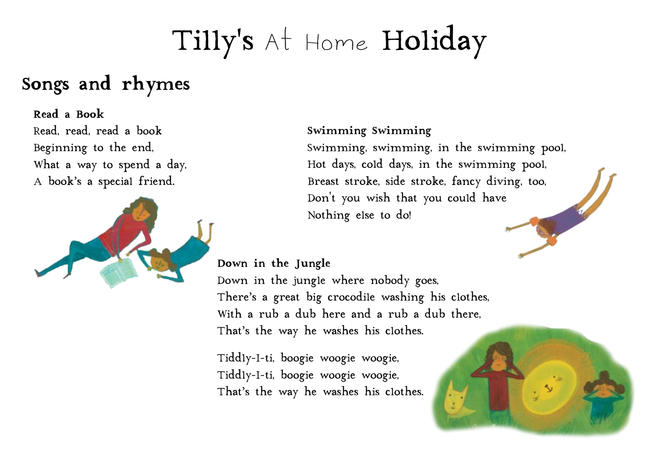# Tilly's At Home Holiday

### **Songs and rhymes**

#### **Read a Book**

Read, read, read a book Beginning to the end, What a way to spend a day, A book's a special friend.



#### **Swimming Swimming**

Swimming, swimming, in the swimming pool, Hot days, cold days, in the swimming pool, Breast stroke, side stroke, fancy diving, too, Don't you wish that you could have Nothing else to do!

### **Down in the Jungle**

Down in the jungle where nobody goes, There's a great big crocodile washing his clothes, With a rub a dub here and a rub a dub there, That's the way he washes his clothes.

Tiddly-I-ti, boogie woogie woogie, Tiddly-I-ti, boogie woogie woogie, That's the way he washes his clothes.